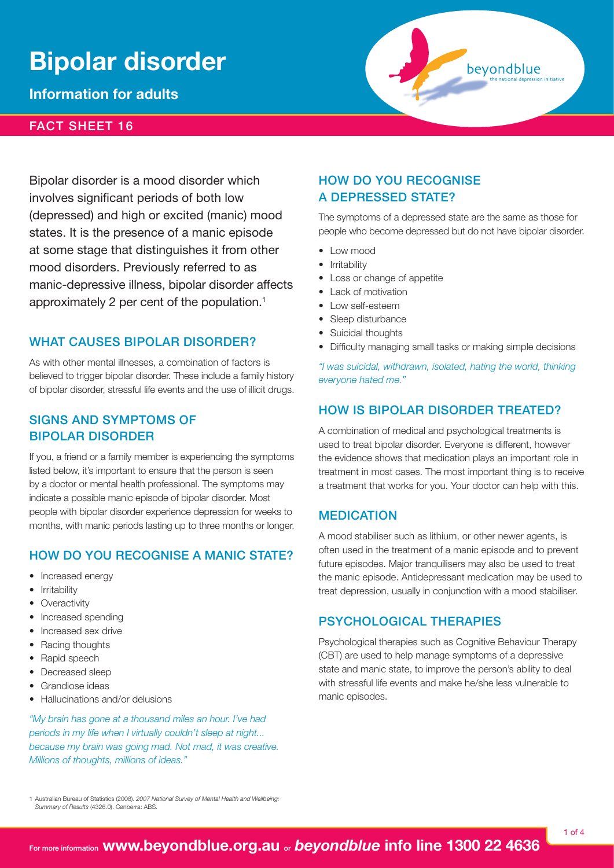# **Bipolar disorder**

**Information for adults**

## fact sheet 16

Bipolar disorder is a mood disorder which involves significant periods of both low (depressed) and high or excited (manic) mood states. It is the presence of a manic episode at some stage that distinguishes it from other mood disorders. Previously referred to as manic‑depressive illness, bipolar disorder affects approximately 2 per cent of the population.1

## WHAT CAUSES BIPOLAR DISORDER?

As with other mental illnesses, a combination of factors is believed to trigger bipolar disorder. These include a family history of bipolar disorder, stressful life events and the use of illicit drugs.

# Signs and symptoms of bipolar disorder

If you, a friend or a family member is experiencing the symptoms listed below, it's important to ensure that the person is seen by a doctor or mental health professional. The symptoms may indicate a possible manic episode of bipolar disorder. Most people with bipolar disorder experience depression for weeks to months, with manic periods lasting up to three months or longer.

# How do you recognise a manic state?

- Increased energy
- **Irritability**
- **Overactivity**
- Increased spending
- Increased sex drive
- **Racing thoughts**
- Rapid speech
- Decreased sleep
- Grandiose ideas
- Hallucinations and/or delusions

*"My brain has gone at a thousand miles an hour. I've had periods in my life when I virtually couldn't sleep at night... because my brain was going mad. Not mad, it was creative. Millions of thoughts, millions of ideas."* 

# How do you recognise a depressed state?

The symptoms of a depressed state are the same as those for people who become depressed but do not have bipolar disorder.

bevondblue

- Low mood
- Irritability
- Loss or change of appetite
- Lack of motivation
- Low self-esteem
- Sleep disturbance
- Suicidal thoughts
- Difficulty managing small tasks or making simple decisions

*"I was suicidal, withdrawn, isolated, hating the world, thinking everyone hated me."*

# HOW IS BIPOLAR DISORDER TREATED?

A combination of medical and psychological treatments is used to treat bipolar disorder. Everyone is different, however the evidence shows that medication plays an important role in treatment in most cases. The most important thing is to receive a treatment that works for you. Your doctor can help with this.

#### **MEDICATION**

A mood stabiliser such as lithium, or other newer agents, is often used in the treatment of a manic episode and to prevent future episodes. Major tranquilisers may also be used to treat the manic episode. Antidepressant medication may be used to treat depression, usually in conjunction with a mood stabiliser.

# Psychological therapies

Psychological therapies such as Cognitive Behaviour Therapy (CBT) are used to help manage symptoms of a depressive state and manic state, to improve the person's ability to deal with stressful life events and make he/she less vulnerable to manic episodes.

1 Australian Bureau of Statistics (2008). *2007 National Survey of Mental Health and Wellbeing: Summary of Results* (4326.0). Canberra: ABS.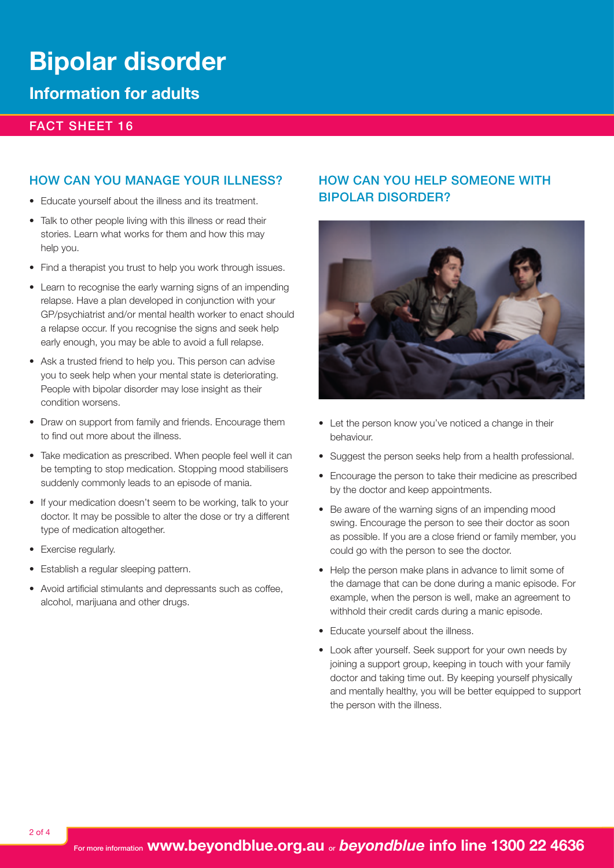# **Bipolar disorder**

# **Information for adults**

# Fact sheet 16

## HOW CAN YOU MANAGE YOUR ILLNESS?

- • Educate yourself about the illness and its treatment.
- Talk to other people living with this illness or read their stories. Learn what works for them and how this may help you.
- Find a therapist you trust to help you work through issues.
- Learn to recognise the early warning signs of an impending relapse. Have a plan developed in conjunction with your GP/psychiatrist and/or mental health worker to enact should a relapse occur. If you recognise the signs and seek help early enough, you may be able to avoid a full relapse.
- Ask a trusted friend to help you. This person can advise you to seek help when your mental state is deteriorating. People with bipolar disorder may lose insight as their condition worsens.
- Draw on support from family and friends. Encourage them to find out more about the illness.
- Take medication as prescribed. When people feel well it can be tempting to stop medication. Stopping mood stabilisers suddenly commonly leads to an episode of mania.
- If your medication doesn't seem to be working, talk to your doctor. It may be possible to alter the dose or try a different type of medication altogether.
- Exercise regularly.
- Establish a regular sleeping pattern.
- Avoid artificial stimulants and depressants such as coffee, alcohol, marijuana and other drugs.

# HOW CAN YOU HELP SOMEONE WITH bipolar disorder?



- Let the person know you've noticed a change in their behaviour.
- Suggest the person seeks help from a health professional.
- Encourage the person to take their medicine as prescribed by the doctor and keep appointments.
- Be aware of the warning signs of an impending mood swing. Encourage the person to see their doctor as soon as possible. If you are a close friend or family member, you could go with the person to see the doctor.
- Help the person make plans in advance to limit some of the damage that can be done during a manic episode. For example, when the person is well, make an agreement to withhold their credit cards during a manic episode.
- • Educate yourself about the illness.
- Look after yourself. Seek support for your own needs by joining a support group, keeping in touch with your family doctor and taking time out. By keeping yourself physically and mentally healthy, you will be better equipped to support the person with the illness.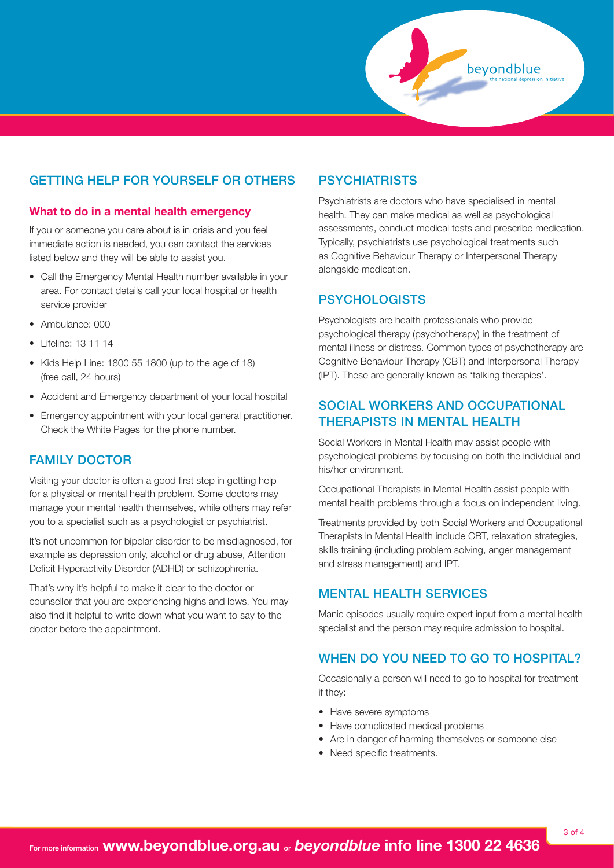# Getting help for yourself or others

#### **What to do in a mental health emergency**

If you or someone you care about is in crisis and you feel immediate action is needed, you can contact the services listed below and they will be able to assist you.

- Call the Emergency Mental Health number available in your area. For contact details call your local hospital or health service provider
- • Ambulance: 000
- • Lifeline: 13 11 14
- Kids Help Line: 1800 55 1800 (up to the age of 18) (free call, 24 hours)
- Accident and Emergency department of your local hospital
- Emergency appointment with your local general practitioner. Check the White Pages for the phone number.

# Family doctor

Visiting your doctor is often a good first step in getting help for a physical or mental health problem. Some doctors may manage your mental health themselves, while others may refer you to a specialist such as a psychologist or psychiatrist.

It's not uncommon for bipolar disorder to be misdiagnosed, for example as depression only, alcohol or drug abuse, Attention Deficit Hyperactivity Disorder (ADHD) or schizophrenia.

That's why it's helpful to make it clear to the doctor or counsellor that you are experiencing highs and lows. You may also find it helpful to write down what you want to say to the doctor before the appointment.

## **PSYCHIATRISTS**

Psychiatrists are doctors who have specialised in mental health. They can make medical as well as psychological assessments, conduct medical tests and prescribe medication. Typically, psychiatrists use psychological treatments such as Cognitive Behaviour Therapy or Interpersonal Therapy alongside medication.

beyondblue

# **PSYCHOLOGISTS**

Psychologists are health professionals who provide psychological therapy (psychotherapy) in the treatment of mental illness or distress. Common types of psychotherapy are Cognitive Behaviour Therapy (CBT) and Interpersonal Therapy (IPT). These are generally known as 'talking therapies'.

# Social Workers and Occupational Therapists in Mental Health

Social Workers in Mental Health may assist people with psychological problems by focusing on both the individual and his/her environment.

Occupational Therapists in Mental Health assist people with mental health problems through a focus on independent living.

Treatments provided by both Social Workers and Occupational Therapists in Mental Health include CBT, relaxation strategies, skills training (including problem solving, anger management and stress management) and IPT.

# Mental Health Services

Manic episodes usually require expert input from a mental health specialist and the person may require admission to hospital.

# WHEN DO YOU NEED TO GO TO HOSPITAL?

Occasionally a person will need to go to hospital for treatment if they:

- Have severe symptoms
- Have complicated medical problems
- Are in danger of harming themselves or someone else
- Need specific treatments.